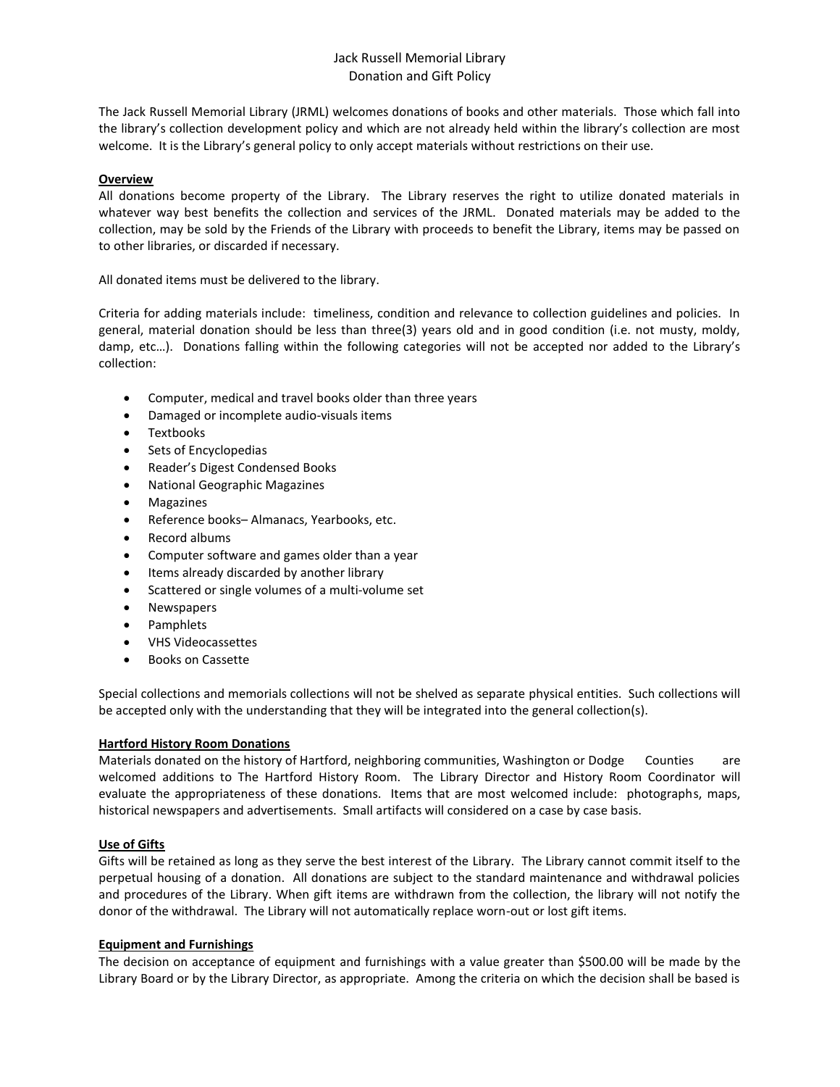# Jack Russell Memorial Library Donation and Gift Policy

The Jack Russell Memorial Library (JRML) welcomes donations of books and other materials. Those which fall into the library's collection development policy and which are not already held within the library's collection are most welcome. It is the Library's general policy to only accept materials without restrictions on their use.

# **Overview**

All donations become property of the Library. The Library reserves the right to utilize donated materials in whatever way best benefits the collection and services of the JRML. Donated materials may be added to the collection, may be sold by the Friends of the Library with proceeds to benefit the Library, items may be passed on to other libraries, or discarded if necessary.

All donated items must be delivered to the library.

Criteria for adding materials include: timeliness, condition and relevance to collection guidelines and policies. In general, material donation should be less than three(3) years old and in good condition (i.e. not musty, moldy, damp, etc…). Donations falling within the following categories will not be accepted nor added to the Library's collection:

- Computer, medical and travel books older than three years
- Damaged or incomplete audio-visuals items
- Textbooks
- Sets of Encyclopedias
- Reader's Digest Condensed Books
- National Geographic Magazines
- Magazines
- Reference books– Almanacs, Yearbooks, etc.
- Record albums
- Computer software and games older than a year
- Items already discarded by another library
- Scattered or single volumes of a multi-volume set
- Newspapers
- Pamphlets
- VHS Videocassettes
- Books on Cassette

Special collections and memorials collections will not be shelved as separate physical entities. Such collections will be accepted only with the understanding that they will be integrated into the general collection(s).

### **Hartford History Room Donations**

Materials donated on the history of Hartford, neighboring communities, Washington or Dodge Counties are welcomed additions to The Hartford History Room. The Library Director and History Room Coordinator will evaluate the appropriateness of these donations. Items that are most welcomed include: photographs, maps, historical newspapers and advertisements. Small artifacts will considered on a case by case basis.

### **Use of Gifts**

Gifts will be retained as long as they serve the best interest of the Library. The Library cannot commit itself to the perpetual housing of a donation. All donations are subject to the standard maintenance and withdrawal policies and procedures of the Library. When gift items are withdrawn from the collection, the library will not notify the donor of the withdrawal. The Library will not automatically replace worn-out or lost gift items.

### **Equipment and Furnishings**

The decision on acceptance of equipment and furnishings with a value greater than \$500.00 will be made by the Library Board or by the Library Director, as appropriate. Among the criteria on which the decision shall be based is